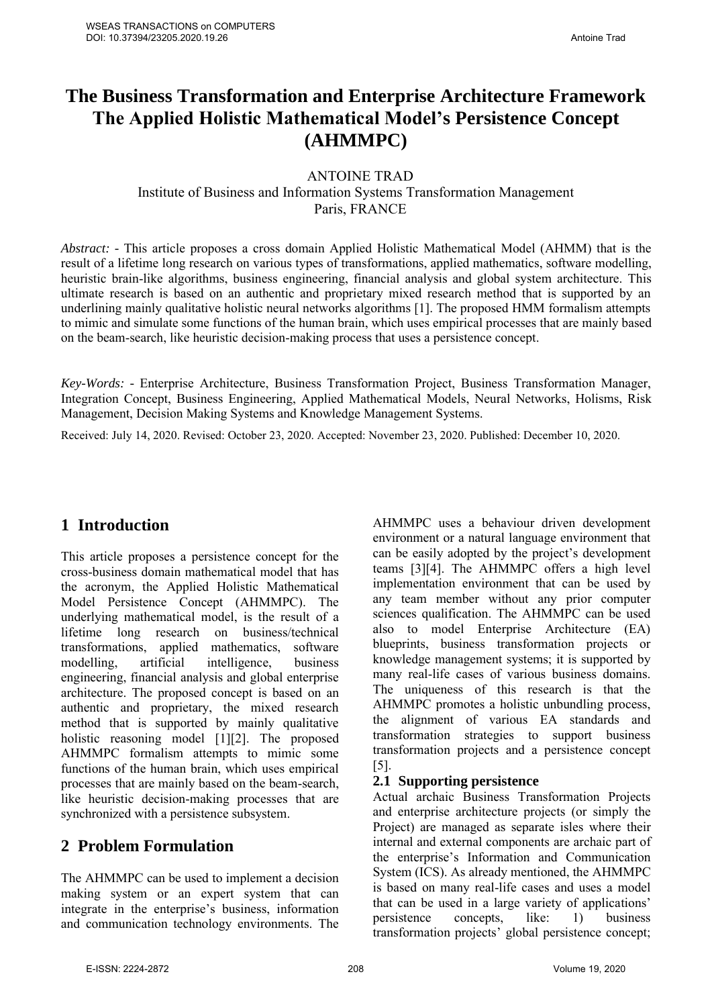# **The Business Transformation and Enterprise Architecture Framework The Applied Holistic Mathematical Model's Persistence Concept (AHMMPC)**

ANTOINE TRAD

Institute of Business and Information Systems Transformation Management Paris, FRANCE

*Abstract: -* This article proposes a cross domain Applied Holistic Mathematical Model (AHMM) that is the result of a lifetime long research on various types of transformations, applied mathematics, software modelling, heuristic brain-like algorithms, business engineering, financial analysis and global system architecture. This ultimate research is based on an authentic and proprietary mixed research method that is supported by an underlining mainly qualitative holistic neural networks algorithms [1]. The proposed HMM formalism attempts to mimic and simulate some functions of the human brain, which uses empirical processes that are mainly based on the beam-search, like heuristic decision-making process that uses a persistence concept.

*Key-Words: -* Enterprise Architecture, Business Transformation Project, Business Transformation Manager, Integration Concept, Business Engineering, Applied Mathematical Models, Neural Networks, Holisms, Risk Management, Decision Making Systems and Knowledge Management Systems.

Received: July 14, 2020. Revised: October 23, 2020. Accepted: November 23, 2020. Published: December 10, 2020.

## **1 Introduction**

This article proposes a persistence concept for the cross-business domain mathematical model that has the acronym, the Applied Holistic Mathematical Model Persistence Concept (AHMMPC). The underlying mathematical model, is the result of a lifetime long research on business/technical transformations, applied mathematics, software modelling, artificial intelligence, business engineering, financial analysis and global enterprise architecture. The proposed concept is based on an authentic and proprietary, the mixed research method that is supported by mainly qualitative holistic reasoning model [1][2]. The proposed AHMMPC formalism attempts to mimic some functions of the human brain, which uses empirical processes that are mainly based on the beam-search, like heuristic decision-making processes that are synchronized with a persistence subsystem.

## **2 Problem Formulation**

The AHMMPC can be used to implement a decision making system or an expert system that can integrate in the enterprise's business, information and communication technology environments. The

AHMMPC uses a behaviour driven development environment or a natural language environment that can be easily adopted by the project's development teams [3][4]. The AHMMPC offers a high level implementation environment that can be used by any team member without any prior computer sciences qualification. The AHMMPC can be used also to model Enterprise Architecture (EA) blueprints, business transformation projects or knowledge management systems; it is supported by many real-life cases of various business domains. The uniqueness of this research is that the AHMMPC promotes a holistic unbundling process, the alignment of various EA standards and transformation strategies to support business transformation projects and a persistence concept [5].

#### **2.1 Supporting persistence**

Actual archaic Business Transformation Projects and enterprise architecture projects (or simply the Project) are managed as separate isles where their internal and external components are archaic part of the enterprise's Information and Communication System (ICS). As already mentioned, the AHMMPC is based on many real-life cases and uses a model that can be used in a large variety of applications' persistence concepts, like: 1) business transformation projects' global persistence concept;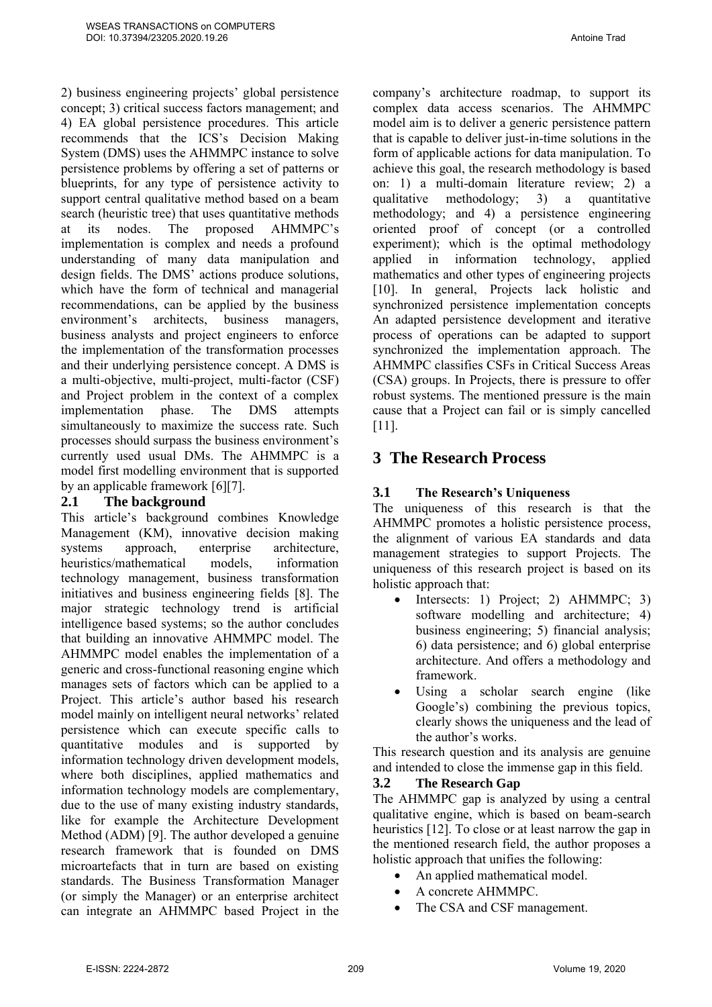2) business engineering projects' global persistence concept; 3) critical success factors management; and 4) EA global persistence procedures. This article recommends that the ICS's Decision Making System (DMS) uses the AHMMPC instance to solve persistence problems by offering a set of patterns or blueprints, for any type of persistence activity to support central qualitative method based on a beam search (heuristic tree) that uses quantitative methods at its nodes. The proposed AHMMPC's implementation is complex and needs a profound understanding of many data manipulation and design fields. The DMS' actions produce solutions, which have the form of technical and managerial recommendations, can be applied by the business environment's architects, business managers, business analysts and project engineers to enforce the implementation of the transformation processes and their underlying persistence concept. A DMS is a multi-objective, multi-project, multi-factor (CSF) and Project problem in the context of a complex implementation phase. The DMS attempts simultaneously to maximize the success rate. Such processes should surpass the business environment's currently used usual DMs. The AHMMPC is a model first modelling environment that is supported by an applicable framework [6][7].

#### **2.1 The background**

This article's background combines Knowledge Management (KM), innovative decision making systems approach, enterprise architecture, heuristics/mathematical models, information technology management, business transformation initiatives and business engineering fields [8]. The major strategic technology trend is artificial intelligence based systems; so the author concludes that building an innovative AHMMPC model. The AHMMPC model enables the implementation of a generic and cross-functional reasoning engine which manages sets of factors which can be applied to a Project. This article's author based his research model mainly on intelligent neural networks' related persistence which can execute specific calls to quantitative modules and is supported by information technology driven development models, where both disciplines, applied mathematics and information technology models are complementary, due to the use of many existing industry standards, like for example the Architecture Development Method (ADM) [9]. The author developed a genuine research framework that is founded on DMS microartefacts that in turn are based on existing standards. The Business Transformation Manager (or simply the Manager) or an enterprise architect can integrate an AHMMPC based Project in the company's architecture roadmap, to support its complex data access scenarios. The AHMMPC model aim is to deliver a generic persistence pattern that is capable to deliver just-in-time solutions in the form of applicable actions for data manipulation. To achieve this goal, the research methodology is based on: 1) a multi-domain literature review; 2) a qualitative methodology; 3) a quantitative methodology; and 4) a persistence engineering oriented proof of concept (or a controlled experiment); which is the optimal methodology applied in information technology, applied mathematics and other types of engineering projects [10]. In general, Projects lack holistic and synchronized persistence implementation concepts An adapted persistence development and iterative process of operations can be adapted to support synchronized the implementation approach. The AHMMPC classifies CSFs in Critical Success Areas (CSA) groups. In Projects, there is pressure to offer robust systems. The mentioned pressure is the main cause that a Project can fail or is simply cancelled [11].

## **3 The Research Process**

### **3.1 The Research's Uniqueness**

The uniqueness of this research is that the AHMMPC promotes a holistic persistence process, the alignment of various EA standards and data management strategies to support Projects. The uniqueness of this research project is based on its holistic approach that:

- Intersects: 1) Project; 2) AHMMPC; 3) software modelling and architecture; 4) business engineering; 5) financial analysis; 6) data persistence; and 6) global enterprise architecture. And offers a methodology and framework.
- Using a scholar search engine (like Google's) combining the previous topics, clearly shows the uniqueness and the lead of the author's works.

This research question and its analysis are genuine and intended to close the immense gap in this field.

#### **3.2 The Research Gap**

The AHMMPC gap is analyzed by using a central qualitative engine, which is based on beam-search heuristics [12]. To close or at least narrow the gap in the mentioned research field, the author proposes a holistic approach that unifies the following:

- An applied mathematical model.
- A concrete AHMMPC.
- The CSA and CSF management.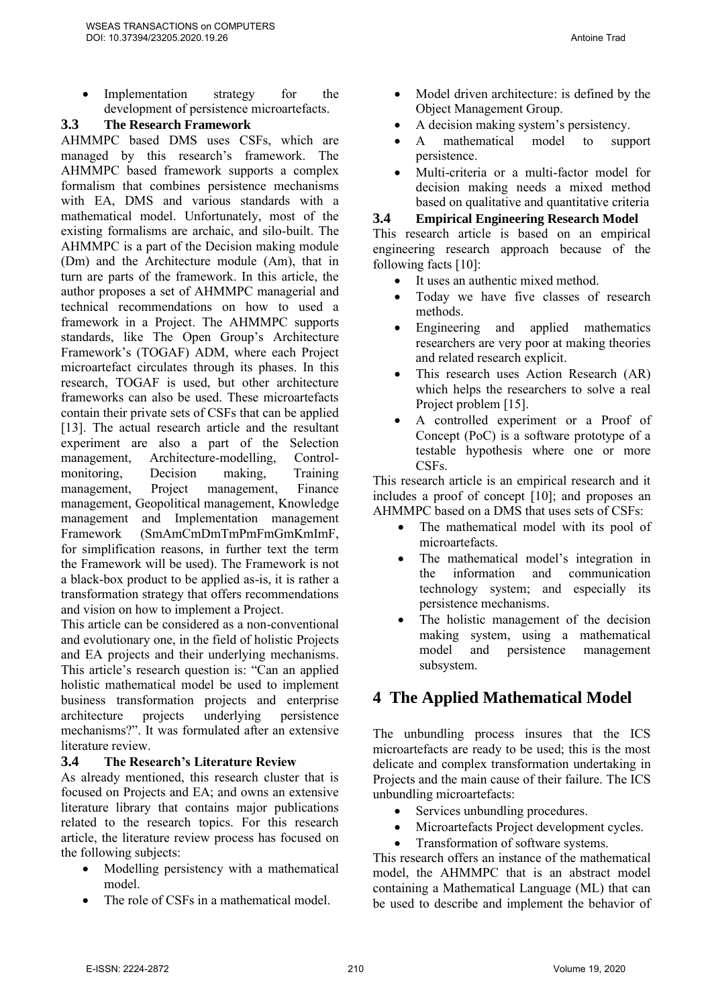• Implementation strategy for the development of persistence microartefacts.

#### **3.3 The Research Framework**

AHMMPC based DMS uses CSFs, which are managed by this research's framework. The AHMMPC based framework supports a complex formalism that combines persistence mechanisms with EA, DMS and various standards with a mathematical model. Unfortunately, most of the existing formalisms are archaic, and silo-built. The AHMMPC is a part of the Decision making module (Dm) and the Architecture module (Am), that in turn are parts of the framework. In this article, the author proposes a set of AHMMPC managerial and technical recommendations on how to used a framework in a Project. The AHMMPC supports standards, like The Open Group's Architecture Framework's (TOGAF) ADM, where each Project microartefact circulates through its phases. In this research, TOGAF is used, but other architecture frameworks can also be used. These microartefacts contain their private sets of CSFs that can be applied [13]. The actual research article and the resultant experiment are also a part of the Selection management, Architecture-modelling, Controlmonitoring, Decision making, Training management, Project management, Finance management, Geopolitical management, Knowledge management and Implementation management Framework (SmAmCmDmTmPmFmGmKmImF, for simplification reasons, in further text the term the Framework will be used). The Framework is not a black-box product to be applied as-is, it is rather a transformation strategy that offers recommendations and vision on how to implement a Project.

This article can be considered as a non-conventional and evolutionary one, in the field of holistic Projects and EA projects and their underlying mechanisms. This article's research question is: "Can an applied holistic mathematical model be used to implement business transformation projects and enterprise<br>architecture projects underlying persistence architecture projects underlying persistence mechanisms?". It was formulated after an extensive literature review.

#### **3.4 The Research's Literature Review**

As already mentioned, this research cluster that is focused on Projects and EA; and owns an extensive literature library that contains major publications related to the research topics. For this research article, the literature review process has focused on the following subjects:

- Modelling persistency with a mathematical model.
- The role of CSFs in a mathematical model.
- Model driven architecture: is defined by the Object Management Group.
- A decision making system's persistency.
- A mathematical model to support persistence.
- Multi-criteria or a multi-factor model for decision making needs a mixed method based on qualitative and quantitative criteria

#### **3.4 Empirical Engineering Research Model**

This research article is based on an empirical engineering research approach because of the following facts [10]:

- It uses an authentic mixed method.
- Today we have five classes of research methods.
- Engineering and applied mathematics researchers are very poor at making theories and related research explicit.
- This research uses Action Research (AR) which helps the researchers to solve a real Project problem [15].
- A controlled experiment or a Proof of Concept (PoC) is a software prototype of a testable hypothesis where one or more CSFs.

This research article is an empirical research and it includes a proof of concept [10]; and proposes an AHMMPC based on a DMS that uses sets of CSFs:

- The mathematical model with its pool of microartefacts.
- The mathematical model's integration in the information and communication technology system; and especially its persistence mechanisms.
- The holistic management of the decision making system, using a mathematical model and persistence management subsystem.

## **4 The Applied Mathematical Model**

The unbundling process insures that the ICS microartefacts are ready to be used; this is the most delicate and complex transformation undertaking in Projects and the main cause of their failure. The ICS unbundling microartefacts:

- Services unbundling procedures.
- Microartefacts Project development cycles.
- Transformation of software systems.

This research offers an instance of the mathematical model, the AHMMPC that is an abstract model containing a Mathematical Language (ML) that can be used to describe and implement the behavior of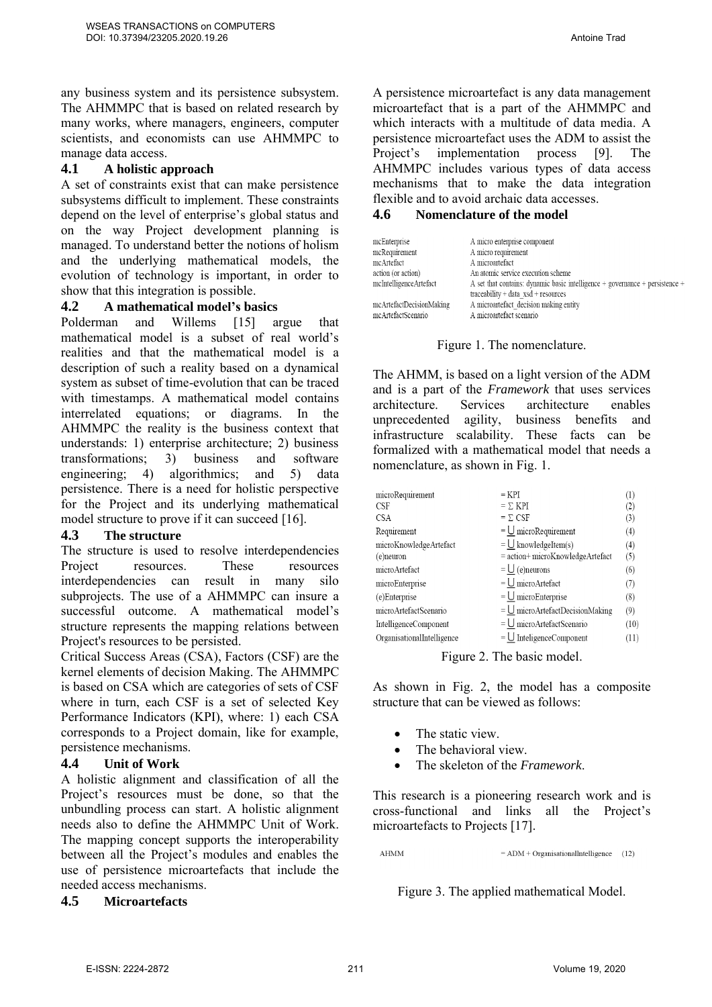any business system and its persistence subsystem. The AHMMPC that is based on related research by many works, where managers, engineers, computer scientists, and economists can use AHMMPC to manage data access.

#### **4.1 A holistic approach**

A set of constraints exist that can make persistence subsystems difficult to implement. These constraints depend on the level of enterprise's global status and on the way Project development planning is managed. To understand better the notions of holism and the underlying mathematical models, the evolution of technology is important, in order to show that this integration is possible.

#### **4.2 A mathematical model's basics**

Polderman and Willems [15] argue that mathematical model is a subset of real world's realities and that the mathematical model is a description of such a reality based on a dynamical system as subset of time-evolution that can be traced with timestamps. A mathematical model contains interrelated equations; or diagrams. In the AHMMPC the reality is the business context that understands: 1) enterprise architecture; 2) business<br>transformations: 3) business and software transformations; 3) business and software engineering; 4) algorithmics; and 5) data persistence. There is a need for holistic perspective for the Project and its underlying mathematical model structure to prove if it can succeed [16].

#### **4.3 The structure**

The structure is used to resolve interdependencies Project resources. These resources interdependencies can result in many silo subprojects. The use of a AHMMPC can insure a successful outcome. A mathematical model's structure represents the mapping relations between Project's resources to be persisted.

Critical Success Areas (CSA), Factors (CSF) are the kernel elements of decision Making. The AHMMPC is based on CSA which are categories of sets of CSF where in turn, each CSF is a set of selected Key Performance Indicators (KPI), where: 1) each CSA corresponds to a Project domain, like for example, persistence mechanisms.

#### **4.4 Unit of Work**

A holistic alignment and classification of all the Project's resources must be done, so that the unbundling process can start. A holistic alignment needs also to define the AHMMPC Unit of Work. The mapping concept supports the interoperability between all the Project's modules and enables the use of persistence microartefacts that include the needed access mechanisms.

**4.5 Microartefacts**

A persistence microartefact is any data management microartefact that is a part of the AHMMPC and which interacts with a multitude of data media. A persistence microartefact uses the ADM to assist the Project's implementation process [9]. The AHMMPC includes various types of data access mechanisms that to make the data integration flexible and to avoid archaic data accesses.

#### **4.6 Nomenclature of the model**

| mcEnterprise                                   | A micro enterprise component                                                                                                |
|------------------------------------------------|-----------------------------------------------------------------------------------------------------------------------------|
| mcRequirement                                  | A micro requirement                                                                                                         |
| mcArtefact                                     | A microartefact                                                                                                             |
| action (or action)                             | An atomic service execution scheme                                                                                          |
| mcIntelligenceArtefact                         | A set that contains: dynamic basic intelligence $+$ governance $+$ persistence $+$<br>$traceability + data xsd + resources$ |
| mcArtefactDecisionMaking<br>mcArtefactScenario | A microartefact decision making entity<br>A microartefact scenario                                                          |

#### Figure 1. The nomenclature.

The AHMM, is based on a light version of the ADM and is a part of the *Framework* that uses services architecture. Services architecture enables unprecedented agility, business benefits and infrastructure scalability. These facts can be formalized with a mathematical model that needs a nomenclature, as shown in Fig. 1.

| microRequirement           | $=$ KPI                                     | $^{(1)}$ |
|----------------------------|---------------------------------------------|----------|
| <b>CSF</b>                 | $= \sum KPI$                                | (2)      |
| <b>CSA</b>                 | $= \Sigma \text{ CSF}$                      | (3)      |
| Requirement                | $=\underline{\bigcup}$ microRequirement     | (4)      |
| microKnowledgeArtefact     | $=$ U knowledgeItem(s)                      | (4)      |
| (e)neuron                  | = action+ microKnowledgeArtefact            | (5)      |
| microArtefact              | $=$ $\bigcup$ (e)neurons                    | (6)      |
| microEnterprise            | $=\underline{\bigcup}$ microArtefact        | (7)      |
| (e)Enterprise              | $=$ U microEnterprise                       | (8)      |
| microArtefactScenario      | $=$ U microArtefactDecisionMaking           | (9)      |
| IntelligenceComponent      | $=$ U microArtefactScenario                 | (10)     |
| OrganisationalIntelligence | $=\underline{\bigcup}$ InteligenceComponent | (11)     |

Figure 2. The basic model.

As shown in Fig. 2, the model has a composite structure that can be viewed as follows:

- The static view.
- The behavioral view.
- The skeleton of the *Framework*.

This research is a pioneering research work and is cross-functional and links all the Project's microartefacts to Projects [17].

**AHMM**  $=$  ADM + Organisational Intelligence (12)

Figure 3. The applied mathematical Model.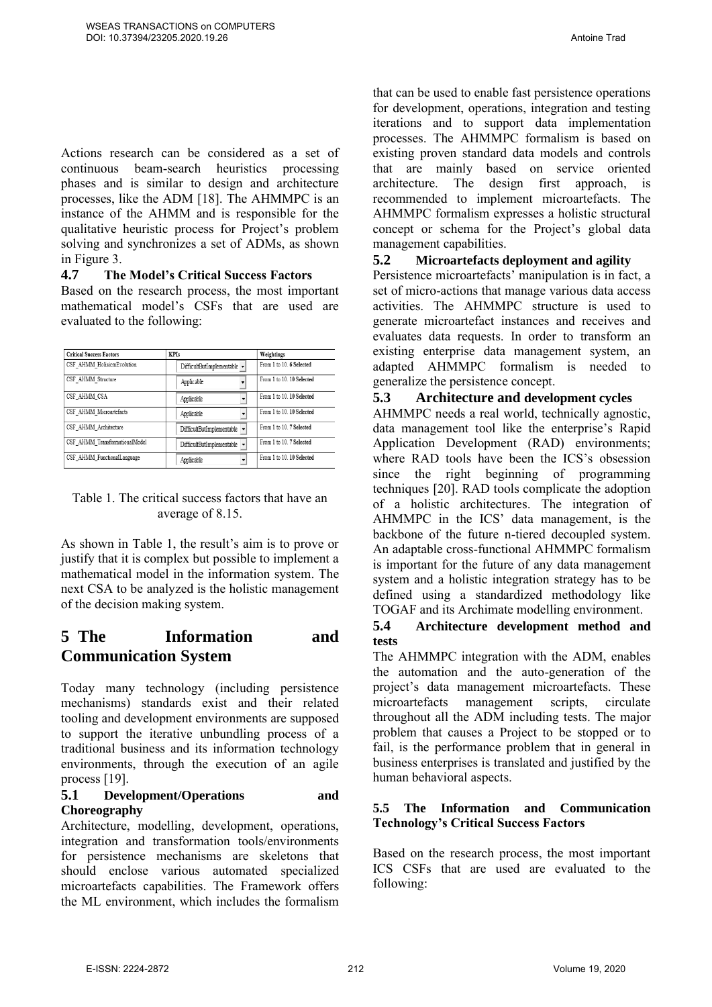Actions research can be considered as a set of continuous beam-search heuristics processing phases and is similar to design and architecture processes, like the ADM [18]. The AHMMPC is an instance of the AHMM and is responsible for the qualitative heuristic process for Project's problem solving and synchronizes a set of ADMs, as shown in Figure 3.

#### **4.7 The Model's Critical Success Factors**

Based on the research process, the most important mathematical model's CSFs that are used are evaluated to the following:

| <b>Critical Success Factors</b> | <b>KPIs</b>                                    | Weightings                |
|---------------------------------|------------------------------------------------|---------------------------|
| CSF AHMM HolisicmEvolution      | DifficultButImplementable $\blacktriangledown$ | From 1 to 10, 6 Selected  |
| CSF AHMM Structure              | Applicable                                     | From 1 to 10, 10 Selected |
| CSF AHMM CSA                    | Applicable                                     | From 1 to 10, 10 Selected |
| CSF AHMM Microartefacts         | Applicable                                     | From 1 to 10, 10 Selected |
| CSF AHMM Architecture           | DifficultButImplementable                      | From 1 to 10. 7 Selected  |
| CSF AHMM TransformationalModel  | DifficultButImplementable v                    | From 1 to 10. 7 Selected  |
| CSF AHMM FunctionalLanguage     | Applicable                                     | From 1 to 10, 10 Selected |

#### Table 1. The critical success factors that have an average of 8.15.

As shown in Table 1, the result's aim is to prove or justify that it is complex but possible to implement a mathematical model in the information system. The next CSA to be analyzed is the holistic management of the decision making system.

## **5 The Information and Communication System**

Today many technology (including persistence mechanisms) standards exist and their related tooling and development environments are supposed to support the iterative unbundling process of a traditional business and its information technology environments, through the execution of an agile process [19].

#### **5.1 Development/Operations and Choreography**

Architecture, modelling, development, operations, integration and transformation tools/environments for persistence mechanisms are skeletons that should enclose various automated specialized microartefacts capabilities. The Framework offers the ML environment, which includes the formalism that can be used to enable fast persistence operations for development, operations, integration and testing iterations and to support data implementation processes. The AHMMPC formalism is based on existing proven standard data models and controls that are mainly based on service oriented architecture. The design first approach, is recommended to implement microartefacts. The AHMMPC formalism expresses a holistic structural concept or schema for the Project's global data management capabilities.

#### **5.2 Microartefacts deployment and agility**

Persistence microartefacts' manipulation is in fact, a set of micro-actions that manage various data access activities. The AHMMPC structure is used to generate microartefact instances and receives and evaluates data requests. In order to transform an existing enterprise data management system, an adapted AHMMPC formalism is needed to generalize the persistence concept.

#### **5.3 Architecture and development cycles**

AHMMPC needs a real world, technically agnostic, data management tool like the enterprise's Rapid Application Development (RAD) environments; where RAD tools have been the ICS's obsession since the right beginning of programming techniques [20]. RAD tools complicate the adoption of a holistic architectures. The integration of AHMMPC in the ICS' data management, is the backbone of the future n-tiered decoupled system. An adaptable cross-functional AHMMPC formalism is important for the future of any data management system and a holistic integration strategy has to be defined using a standardized methodology like TOGAF and its Archimate modelling environment.

#### **5.4 Architecture development method and tests**

The AHMMPC integration with the ADM, enables the automation and the auto-generation of the project's data management microartefacts. These microartefacts management scripts, circulate throughout all the ADM including tests. The major problem that causes a Project to be stopped or to fail, is the performance problem that in general in business enterprises is translated and justified by the human behavioral aspects.

#### **5.5 The Information and Communication Technology's Critical Success Factors**

Based on the research process, the most important ICS CSFs that are used are evaluated to the following: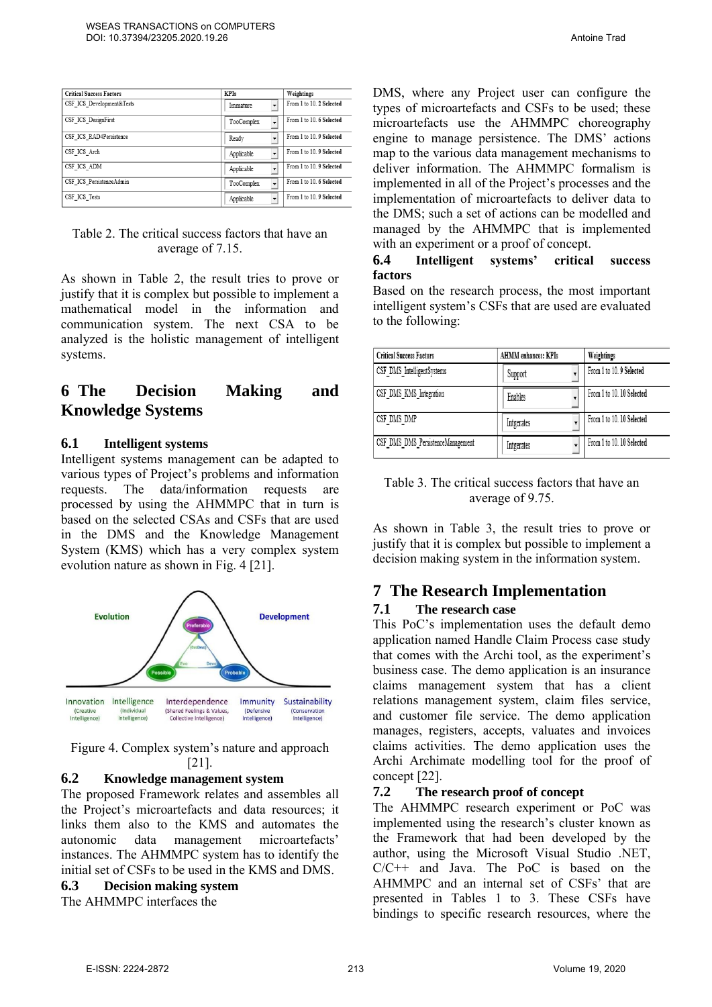| <b>Critical Success Factors</b> | <b>KPIs</b> | Weightings               |
|---------------------------------|-------------|--------------------------|
| CSF ICS Development&Tests       | Immature    | From 1 to 10. 2 Selected |
| CSF ICS DesignFirst             | TooComplex  | From 1 to 10, 6 Selected |
| CSF ICS RAD4Persistence         | Ready       | From 1 to 10.9 Selected  |
| CSF ICS Arch                    | Applicable  | From 1 to 10. 9 Selected |
| CSF ICS ADM                     | Applicable  | From 1 to 10. 9 Selected |
| CSF ICS PersistenceAdmin        | TooComplex  | From 1 to 10, 6 Selected |
| CSF ICS Tests                   | Applicable  | From 1 to 10.9 Selected  |

#### Table 2. The critical success factors that have an average of 7.15.

As shown in Table 2, the result tries to prove or justify that it is complex but possible to implement a mathematical model in the information and communication system. The next CSA to be analyzed is the holistic management of intelligent systems.

## **6 The Decision Making and Knowledge Systems**

#### **6.1 Intelligent systems**

Intelligent systems management can be adapted to various types of Project's problems and information requests. The data/information requests are processed by using the AHMMPC that in turn is based on the selected CSAs and CSFs that are used in the DMS and the Knowledge Management System (KMS) which has a very complex system evolution nature as shown in Fig. 4 [21].



Figure 4. Complex system's nature and approach [21].

#### **6.2 Knowledge management system**

The proposed Framework relates and assembles all the Project's microartefacts and data resources; it links them also to the KMS and automates the autonomic data management microartefacts' instances. The AHMMPC system has to identify the initial set of CSFs to be used in the KMS and DMS.

### **6.3 Decision making system**

The AHMMPC interfaces the

DMS, where any Project user can configure the types of microartefacts and CSFs to be used; these microartefacts use the AHMMPC choreography engine to manage persistence. The DMS' actions map to the various data management mechanisms to deliver information. The AHMMPC formalism is implemented in all of the Project's processes and the implementation of microartefacts to deliver data to the DMS; such a set of actions can be modelled and managed by the AHMMPC that is implemented

### **6.4 Intelligent systems' critical success factors**

with an experiment or a proof of concept.

Based on the research process, the most important intelligent system's CSFs that are used are evaluated to the following:

| <b>Critical Success Factors</b>   | <b>AHMM</b> enhances: KPIs | Weightings                |
|-----------------------------------|----------------------------|---------------------------|
| CSF DMS IntelligentSystems        | Support                    | From 1 to 10.9 Selected   |
| CSF DMS_KMS_Integration           | Enables                    | From 1 to 10, 10 Selected |
| CSF DMS DMP                       | Intgerates                 | From 1 to 10, 10 Selected |
| CSF DMS DMS PersistenceManagement | Intgerates                 | From 1 to 10, 10 Selected |

#### Table 3. The critical success factors that have an average of 9.75.

As shown in Table 3, the result tries to prove or justify that it is complex but possible to implement a decision making system in the information system.

## **7 The Research Implementation**

#### **7.1 The research case**

This PoC's implementation uses the default demo application named Handle Claim Process case study that comes with the Archi tool, as the experiment's business case. The demo application is an insurance claims management system that has a client relations management system, claim files service, and customer file service. The demo application manages, registers, accepts, valuates and invoices claims activities. The demo application uses the Archi Archimate modelling tool for the proof of concept [22].

#### **7.2 The research proof of concept**

The AHMMPC research experiment or PoC was implemented using the research's cluster known as the Framework that had been developed by the author, using the Microsoft Visual Studio .NET, C/C++ and Java. The PoC is based on the AHMMPC and an internal set of CSFs' that are presented in Tables 1 to 3. These CSFs have bindings to specific research resources, where the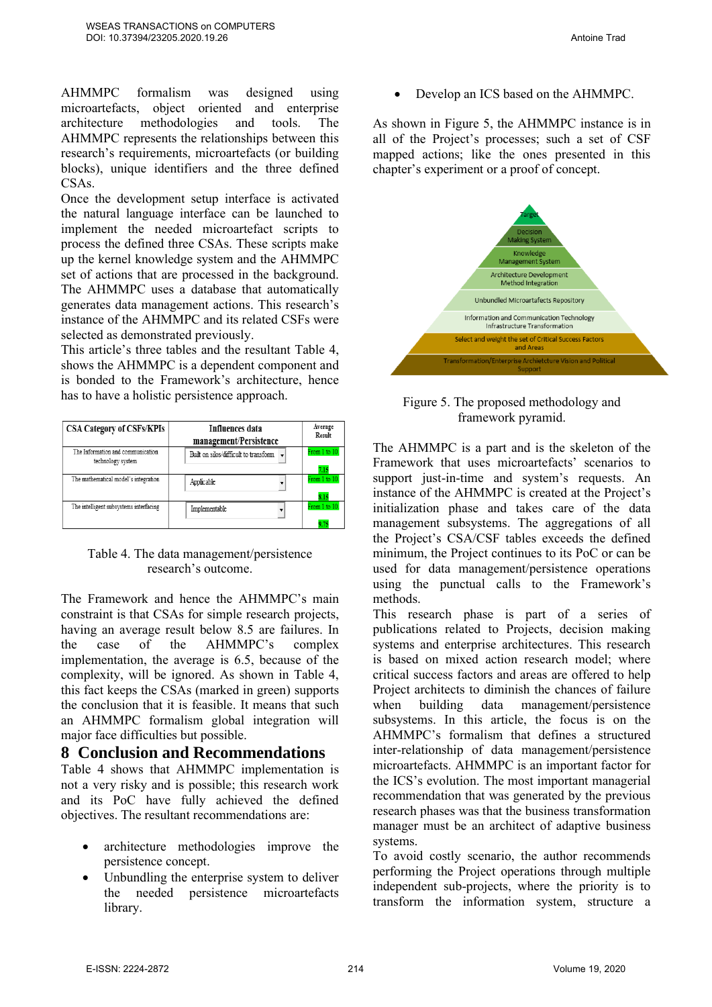AHMMPC formalism was designed using microartefacts, object oriented and enterprise architecture methodologies and tools. The AHMMPC represents the relationships between this research's requirements, microartefacts (or building blocks), unique identifiers and the three defined CSAs.

Once the development setup interface is activated the natural language interface can be launched to implement the needed microartefact scripts to process the defined three CSAs. These scripts make up the kernel knowledge system and the AHMMPC set of actions that are processed in the background. The AHMMPC uses a database that automatically generates data management actions. This research's instance of the AHMMPC and its related CSFs were selected as demonstrated previously.

This article's three tables and the resultant Table 4, shows the AHMMPC is a dependent component and is bonded to the Framework's architecture, hence has to have a holistic persistence approach.



#### Table 4. The data management/persistence research's outcome.

The Framework and hence the AHMMPC's main constraint is that CSAs for simple research projects, having an average result below 8.5 are failures. In the case of the AHMMPC's complex implementation, the average is 6.5, because of the complexity, will be ignored. As shown in Table 4, this fact keeps the CSAs (marked in green) supports the conclusion that it is feasible. It means that such an AHMMPC formalism global integration will major face difficulties but possible.

#### **8 Conclusion and Recommendations**

Table 4 shows that AHMMPC implementation is not a very risky and is possible; this research work and its PoC have fully achieved the defined objectives. The resultant recommendations are:

- architecture methodologies improve the persistence concept.
- Unbundling the enterprise system to deliver the needed persistence microartefacts library.

• Develop an ICS based on the AHMMPC.

As shown in Figure 5, the AHMMPC instance is in all of the Project's processes; such a set of CSF mapped actions; like the ones presented in this chapter's experiment or a proof of concept.



Figure 5. The proposed methodology and framework pyramid.

The AHMMPC is a part and is the skeleton of the Framework that uses microartefacts' scenarios to support just-in-time and system's requests. An instance of the AHMMPC is created at the Project's initialization phase and takes care of the data management subsystems. The aggregations of all the Project's CSA/CSF tables exceeds the defined minimum, the Project continues to its PoC or can be used for data management/persistence operations using the punctual calls to the Framework's methods.

This research phase is part of a series of publications related to Projects, decision making systems and enterprise architectures. This research is based on mixed action research model; where critical success factors and areas are offered to help Project architects to diminish the chances of failure when building data management/persistence subsystems. In this article, the focus is on the AHMMPC's formalism that defines a structured inter-relationship of data management/persistence microartefacts. AHMMPC is an important factor for the ICS's evolution. The most important managerial recommendation that was generated by the previous research phases was that the business transformation manager must be an architect of adaptive business systems.

To avoid costly scenario, the author recommends performing the Project operations through multiple independent sub-projects, where the priority is to transform the information system, structure a